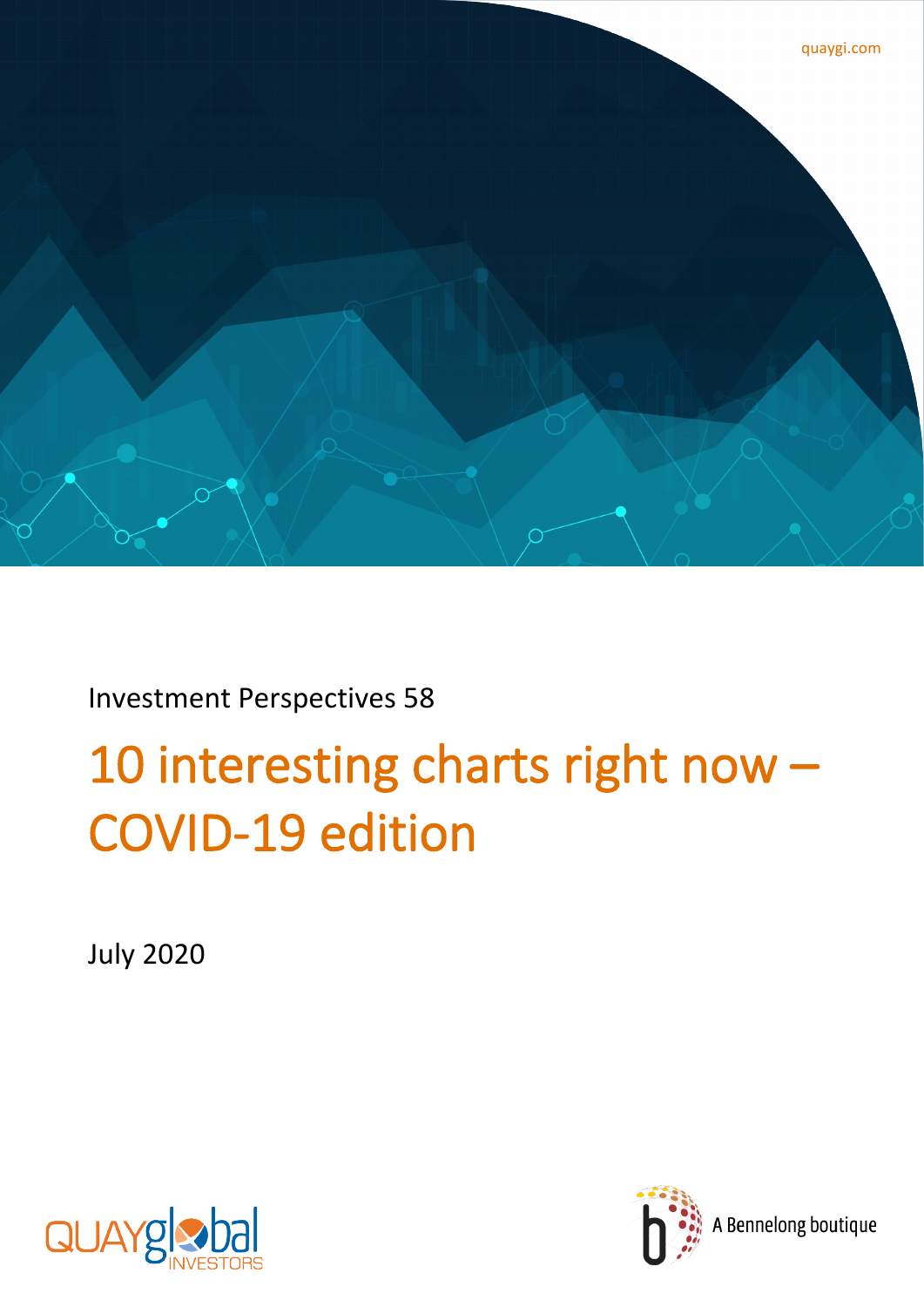

Investment Perspectives 58

# 10 interesting charts right now – COVID-19 edition

July 2020



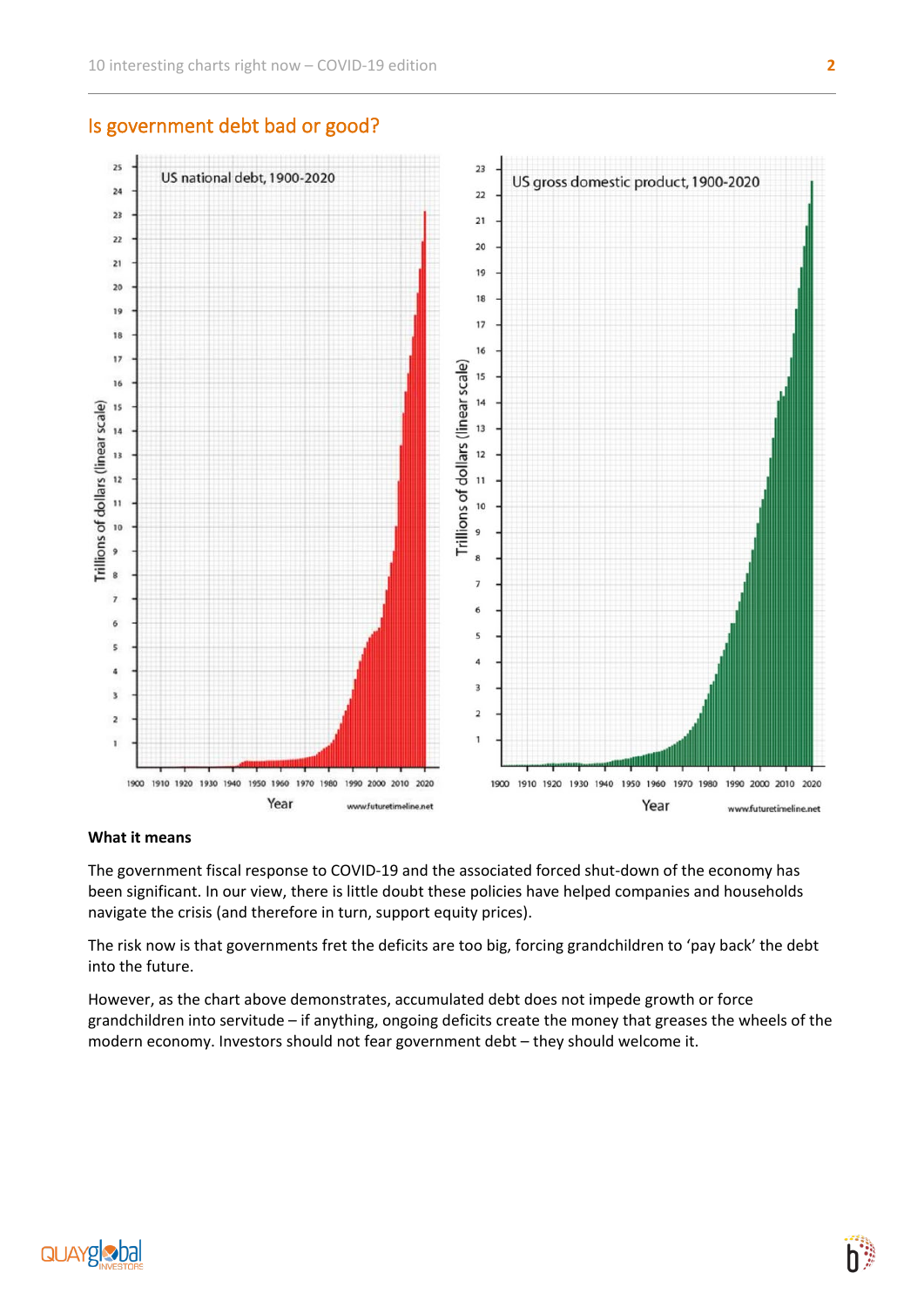

## Is government debt bad or good?

#### **What it means**

The government fiscal response to COVID-19 and the associated forced shut-down of the economy has been significant. In our view, there is little doubt these policies have helped companies and households navigate the crisis (and therefore in turn, support equity prices).

The risk now is that governments fret the deficits are too big, forcing grandchildren to 'pay back' the debt into the future.

However, as the chart above demonstrates, accumulated debt does not impede growth or force grandchildren into servitude – if anything, ongoing deficits create the money that greases the wheels of the modern economy. Investors should not fear government debt – they should welcome it.

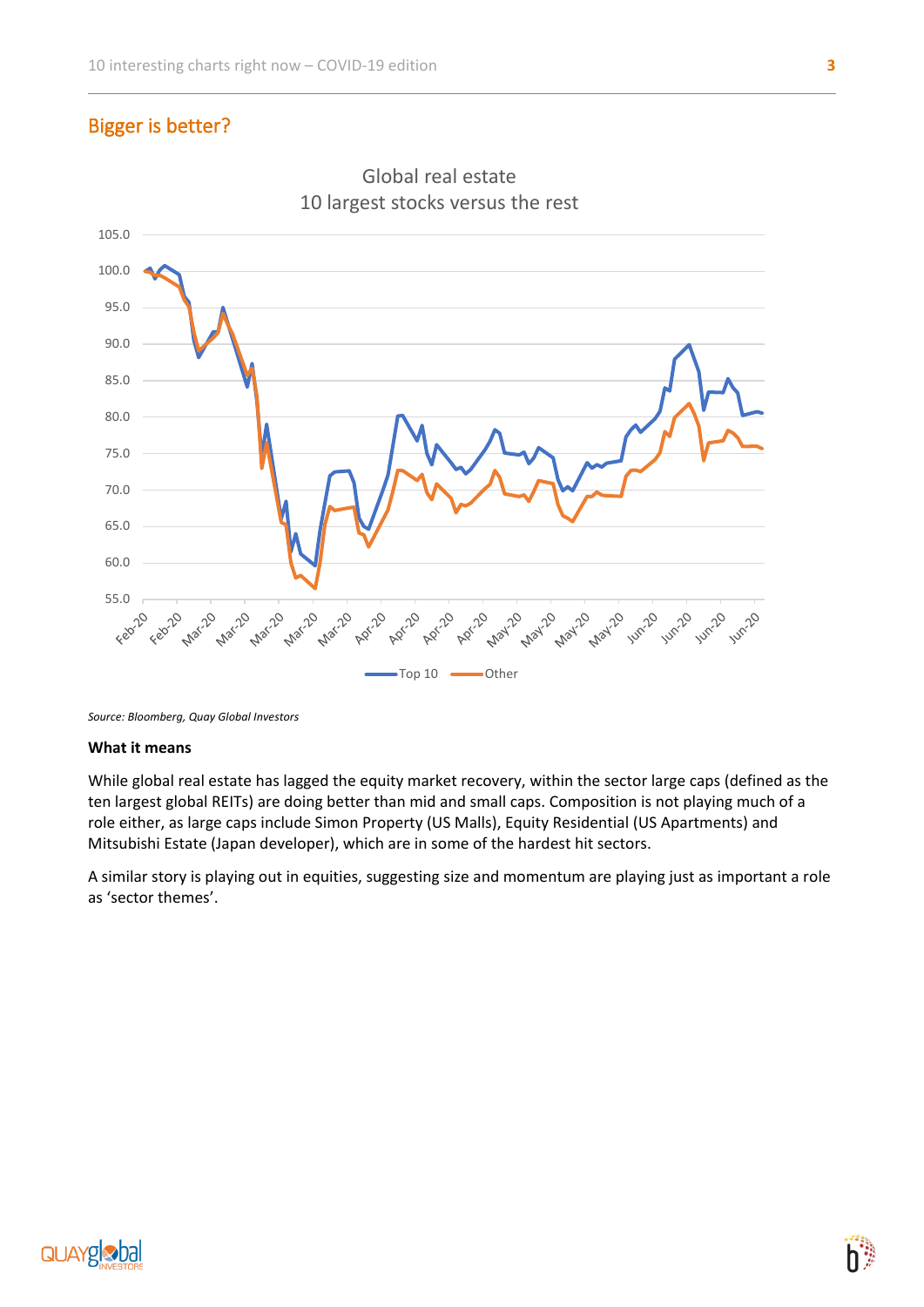# Bigger is better?





*Source: Bloomberg, Quay Global Investors*

#### **What it means**

While global real estate has lagged the equity market recovery, within the sector large caps (defined as the ten largest global REITs) are doing better than mid and small caps. Composition is not playing much of a role either, as large caps include Simon Property (US Malls), Equity Residential (US Apartments) and Mitsubishi Estate (Japan developer), which are in some of the hardest hit sectors.

A similar story is playing out in equities, suggesting size and momentum are playing just as important a role as 'sector themes'.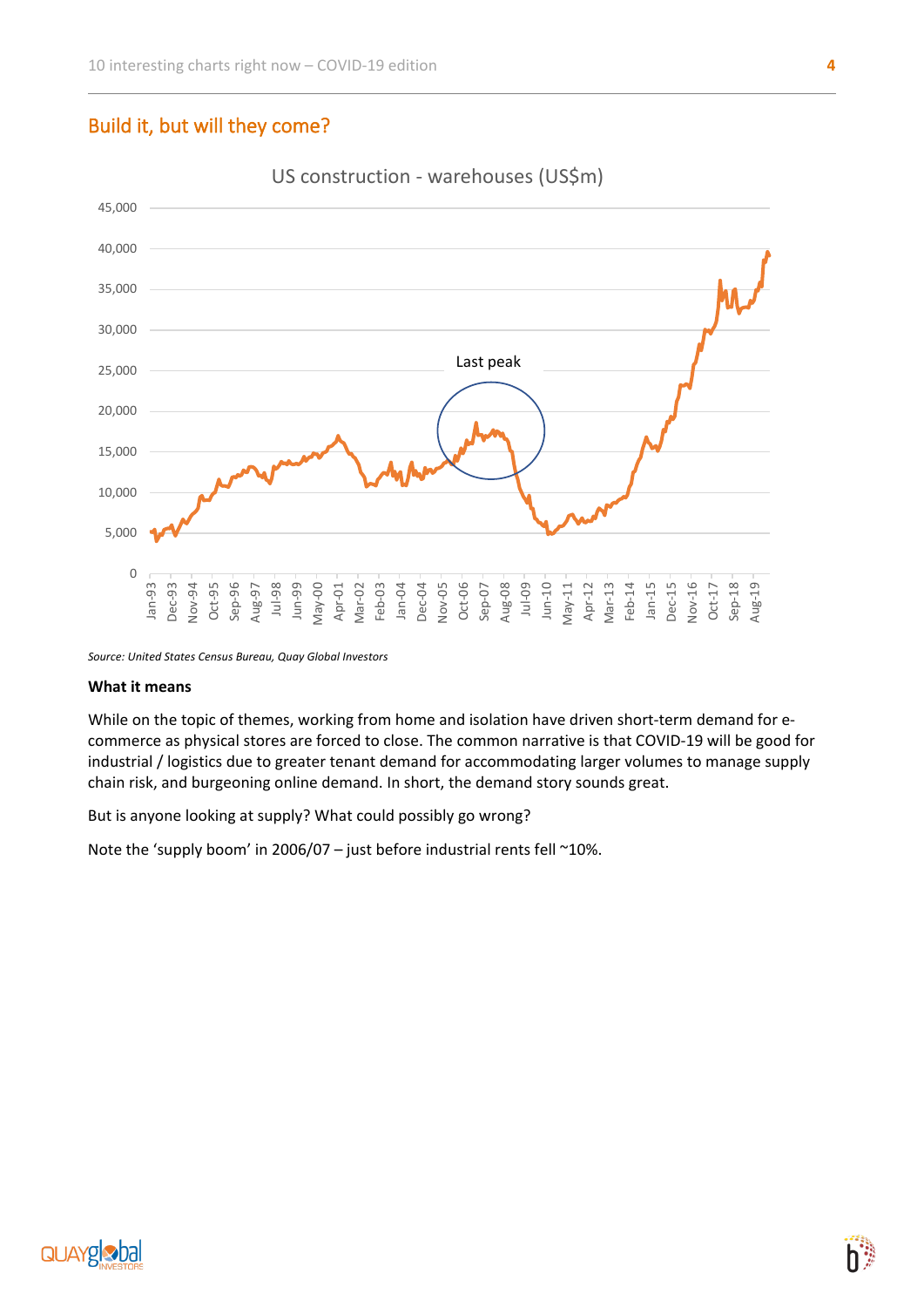## Build it, but will they come?



US construction - warehouses (US\$m)

*Source: United States Census Bureau, Quay Global Investors*

#### **What it means**

While on the topic of themes, working from home and isolation have driven short-term demand for ecommerce as physical stores are forced to close. The common narrative is that COVID-19 will be good for industrial / logistics due to greater tenant demand for accommodating larger volumes to manage supply chain risk, and burgeoning online demand. In short, the demand story sounds great.

But is anyone looking at supply? What could possibly go wrong?

Note the 'supply boom' in 2006/07 – just before industrial rents fell ~10%.

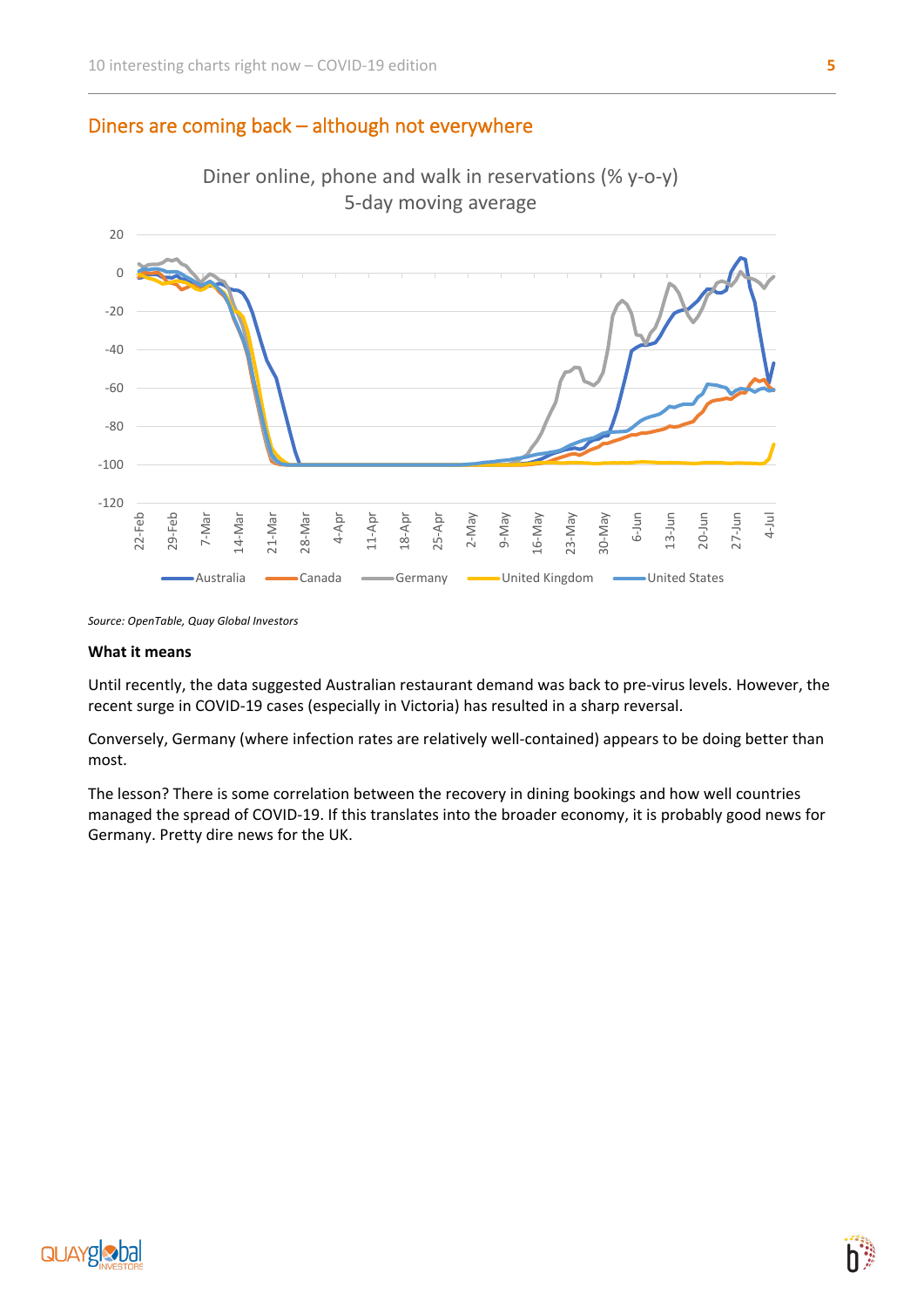## Diners are coming back – although not everywhere



*Source: OpenTable, Quay Global Investors*

#### **What it means**

Until recently, the data suggested Australian restaurant demand was back to pre-virus levels. However, the recent surge in COVID-19 cases (especially in Victoria) has resulted in a sharp reversal.

Conversely, Germany (where infection rates are relatively well-contained) appears to be doing better than most.

The lesson? There is some correlation between the recovery in dining bookings and how well countries managed the spread of COVID-19. If this translates into the broader economy, it is probably good news for Germany. Pretty dire news for the UK.

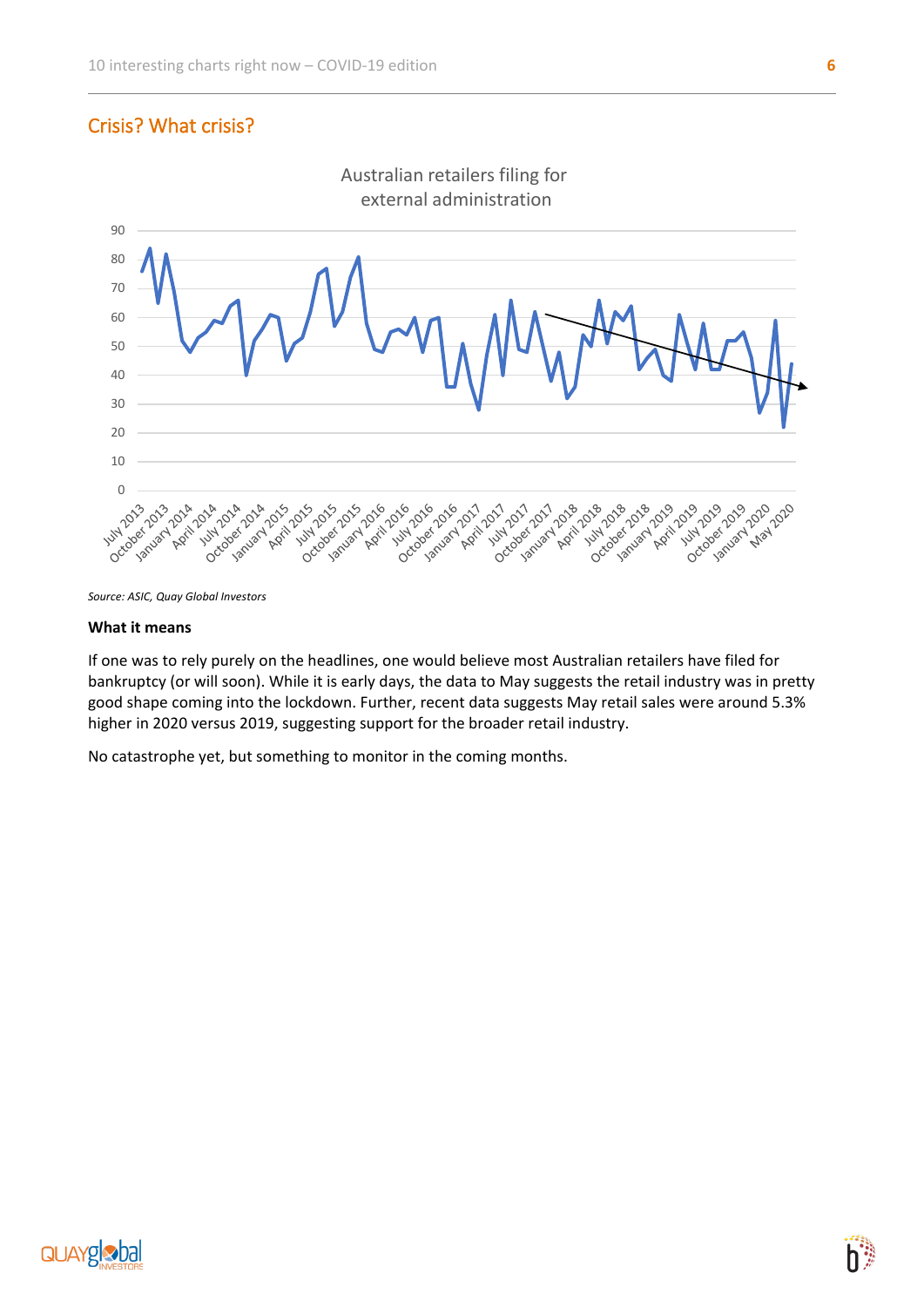## Crisis? What crisis?



*Source: ASIC, Quay Global Investors*

#### **What it means**

If one was to rely purely on the headlines, one would believe most Australian retailers have filed for bankruptcy (or will soon). While it is early days, the data to May suggests the retail industry was in pretty good shape coming into the lockdown. Further, recent data suggests May retail sales were around 5.3% higher in 2020 versus 2019, suggesting support for the broader retail industry.

No catastrophe yet, but something to monitor in the coming months.

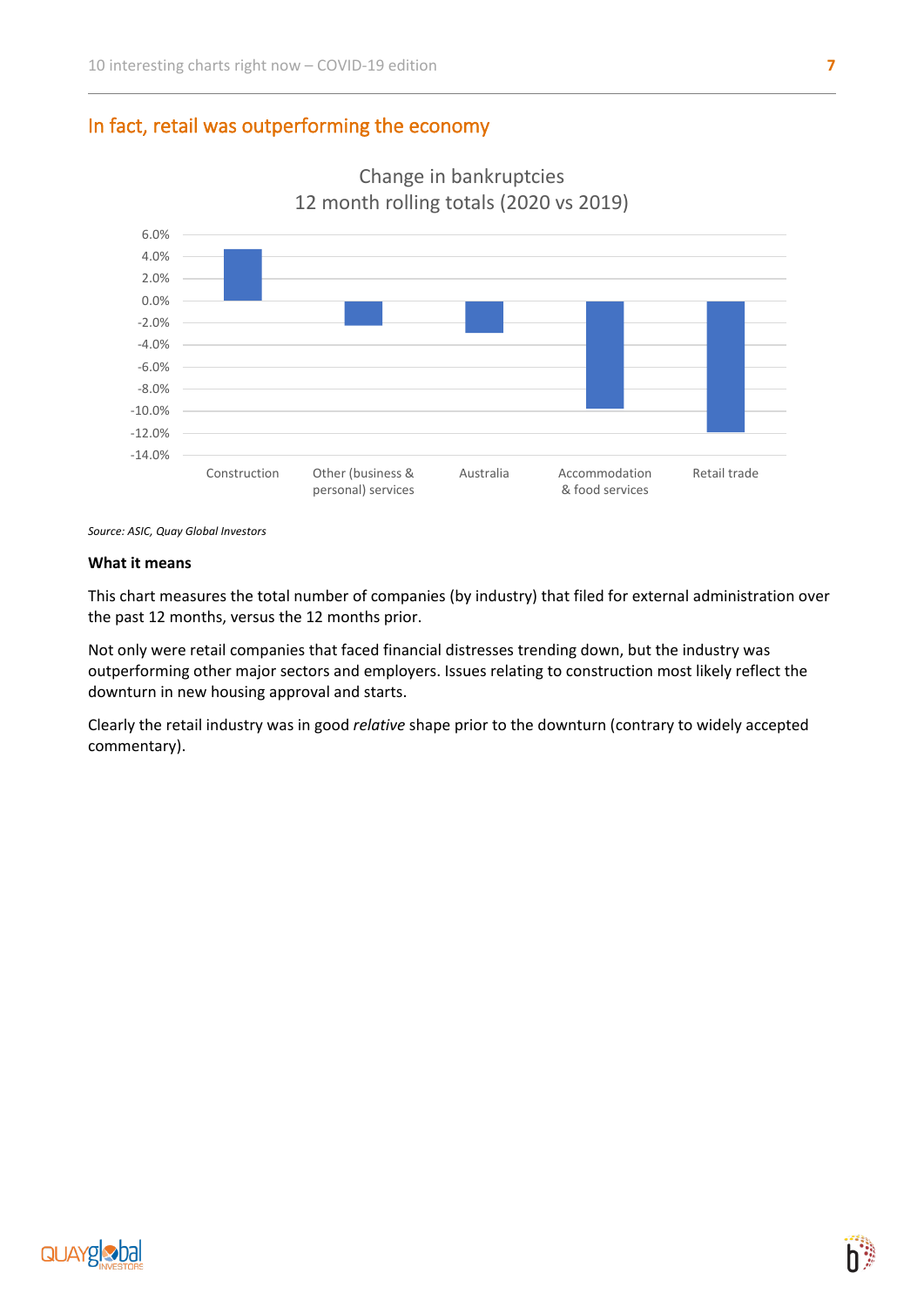## In fact, retail was outperforming the economy



Change in bankruptcies 12 month rolling totals (2020 vs 2019)

*Source: ASIC, Quay Global Investors*

#### **What it means**

This chart measures the total number of companies (by industry) that filed for external administration over the past 12 months, versus the 12 months prior.

Not only were retail companies that faced financial distresses trending down, but the industry was outperforming other major sectors and employers. Issues relating to construction most likely reflect the downturn in new housing approval and starts.

Clearly the retail industry was in good *relative* shape prior to the downturn (contrary to widely accepted commentary).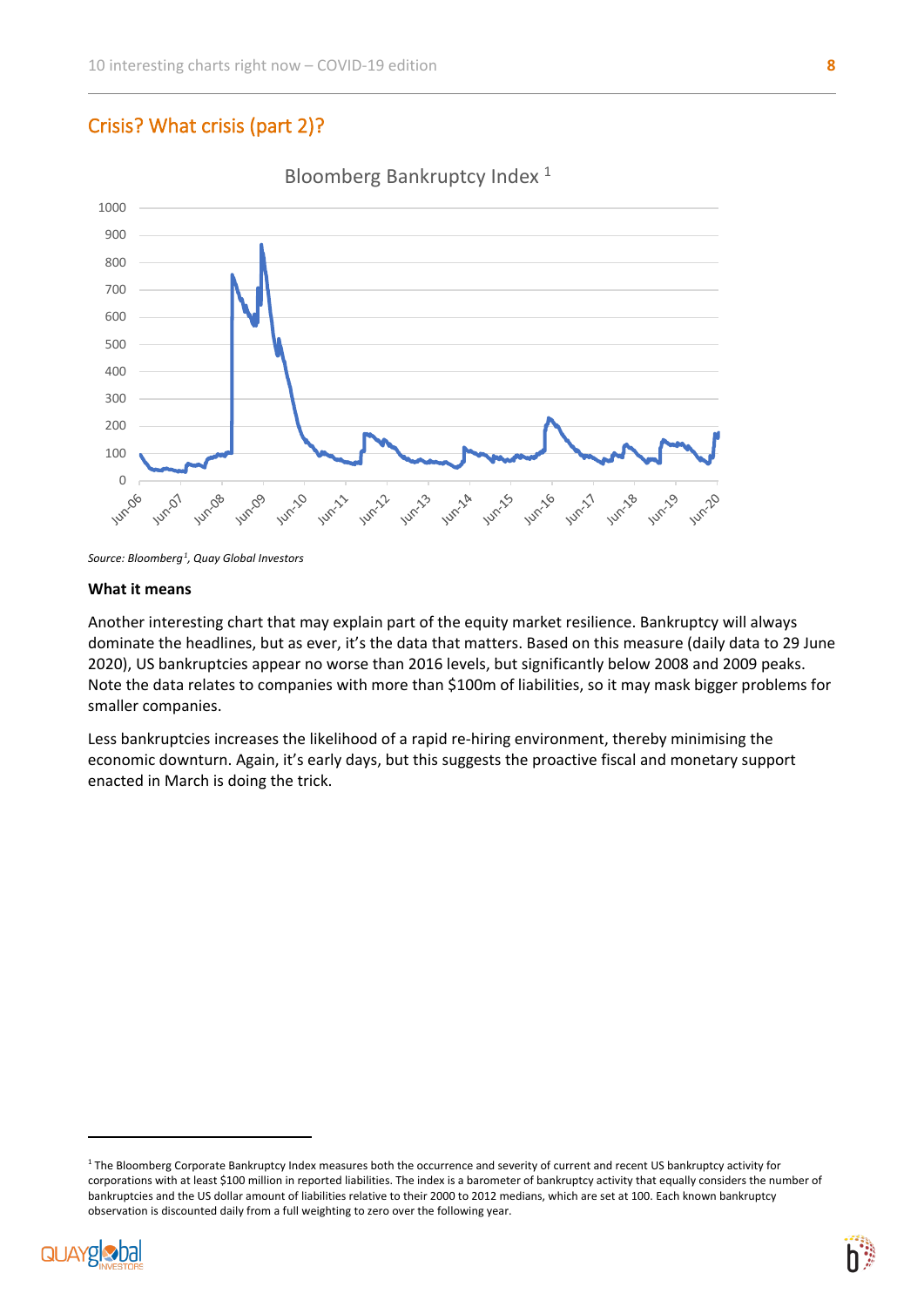# Crisis? What crisis (part 2)?



Bloomberg Bankruptcy Index<sup>1</sup>

#### **What it means**

Another interesting chart that may explain part of the equity market resilience. Bankruptcy will always dominate the headlines, but as ever, it's the data that matters. Based on this measure (daily data to 29 June 2020), US bankruptcies appear no worse than 2016 levels, but significantly below 2008 and 2009 peaks. Note the data relates to companies with more than \$100m of liabilities, so it may mask bigger problems for smaller companies.

Less bankruptcies increases the likelihood of a rapid re-hiring environment, thereby minimising the economic downturn. Again, it's early days, but this suggests the proactive fiscal and monetary support enacted in March is doing the trick.

<span id="page-7-0"></span><sup>&</sup>lt;sup>1</sup> The Bloomberg Corporate Bankruptcy Index measures both the occurrence and severity of current and recent US bankruptcy activity for corporations with at least \$100 million in reported liabilities. The index is a barometer of bankruptcy activity that equally considers the number of bankruptcies and the US dollar amount of liabilities relative to their 2000 to 2012 medians, which are set at 100. Each known bankruptcy observation is discounted daily from a full weighting to zero over the following year.





*Source: Bloomberg[1](#page-7-0) , Quay Global Investors*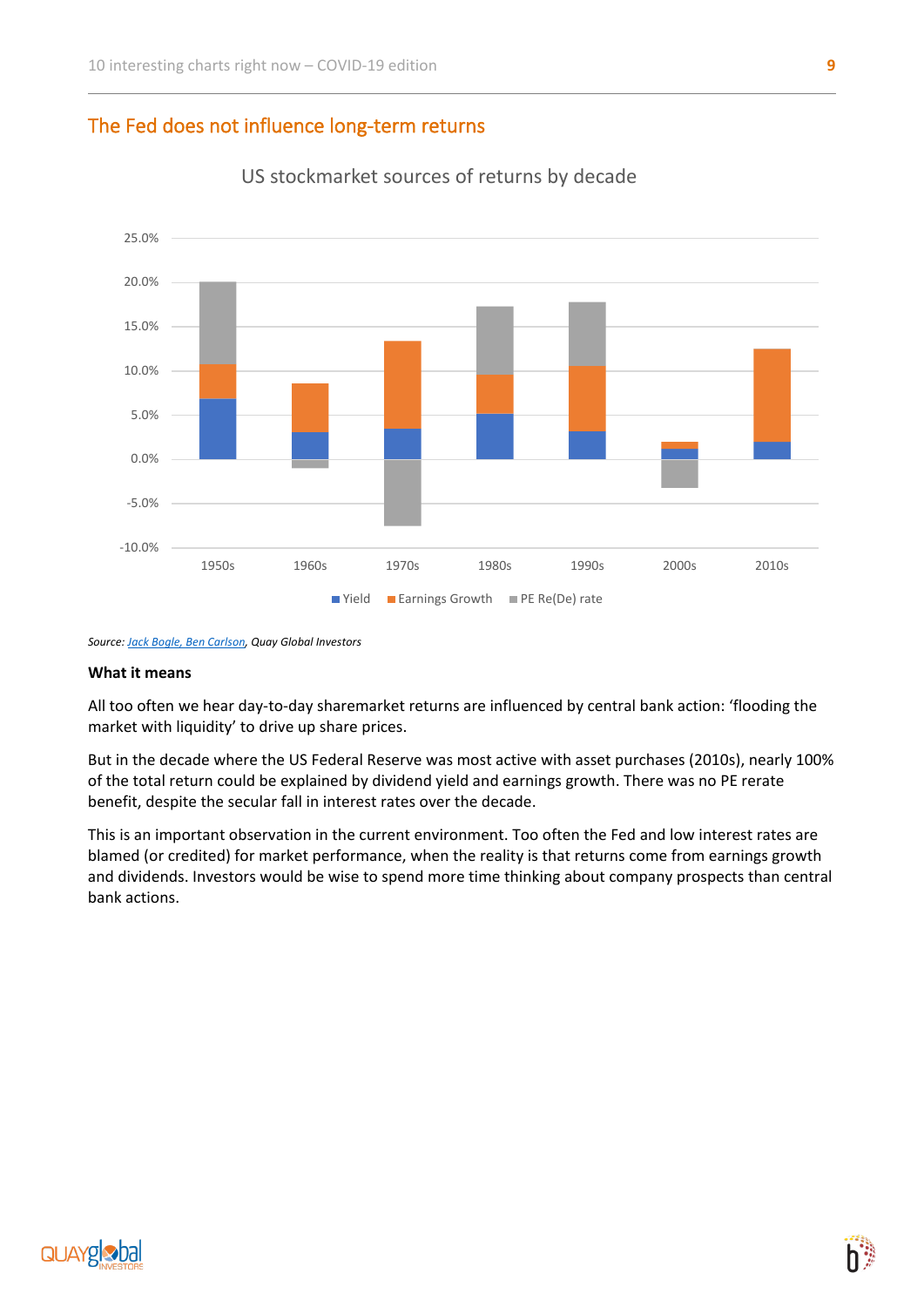## The Fed does not influence long-term returns



US stockmarket sources of returns by decade

*Source[: Jack Bogle, Ben Carlson,](https://awealthofcommonsense.com/2019/12/where-have-all-the-stock-market-returns-come-from-this-decade/) Quay Global Investors*

#### **What it means**

All too often we hear day-to-day sharemarket returns are influenced by central bank action: 'flooding the market with liquidity' to drive up share prices.

But in the decade where the US Federal Reserve was most active with asset purchases (2010s), nearly 100% of the total return could be explained by dividend yield and earnings growth. There was no PE rerate benefit, despite the secular fall in interest rates over the decade.

This is an important observation in the current environment. Too often the Fed and low interest rates are blamed (or credited) for market performance, when the reality is that returns come from earnings growth and dividends. Investors would be wise to spend more time thinking about company prospects than central bank actions.

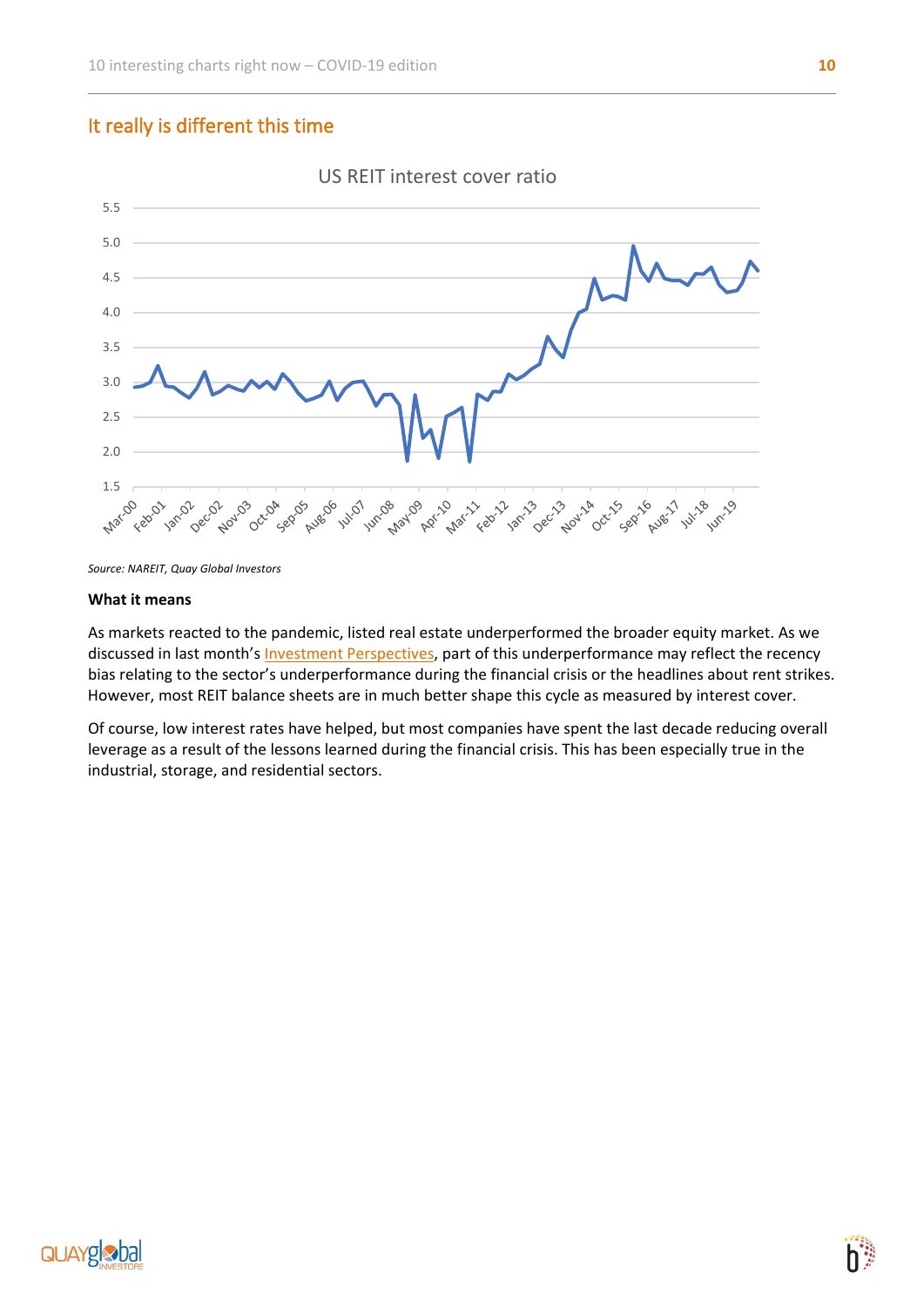## It really is different this time



*Source: NAREIT, Quay Global Investors*

#### **What it means**

As markets reacted to the pandemic, listed real estate underperformed the broader equity market. As we discussed in last month's [Investment Perspectives,](https://www.bennelongfunds.com/insights/381/investment-perspectives-real-estate/fund-insight) part of this underperformance may reflect the recency bias relating to the sector's underperformance during the financial crisis or the headlines about rent strikes. However, most REIT balance sheets are in much better shape this cycle as measured by interest cover.

Of course, low interest rates have helped, but most companies have spent the last decade reducing overall leverage as a result of the lessons learned during the financial crisis. This has been especially true in the industrial, storage, and residential sectors.